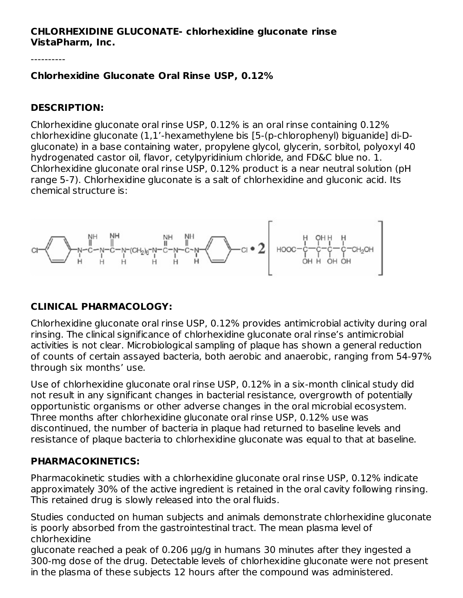#### **CHLORHEXIDINE GLUCONATE- chlorhexidine gluconate rinse VistaPharm, Inc.**

----------

### **Chlorhexidine Gluconate Oral Rinse USP, 0.12%**

### **DESCRIPTION:**

Chlorhexidine gluconate oral rinse USP, 0.12% is an oral rinse containing 0.12% chlorhexidine gluconate (1,1'-hexamethylene bis [5-(p-chlorophenyl) biguanide] di-Dgluconate) in a base containing water, propylene glycol, glycerin, sorbitol, polyoxyl 40 hydrogenated castor oil, flavor, cetylpyridinium chloride, and FD&C blue no. 1. Chlorhexidine gluconate oral rinse USP, 0.12% product is a near neutral solution (pH range 5-7). Chlorhexidine gluconate is a salt of chlorhexidine and gluconic acid. Its chemical structure is:



# **CLINICAL PHARMACOLOGY:**

Chlorhexidine gluconate oral rinse USP, 0.12% provides antimicrobial activity during oral rinsing. The clinical significance of chlorhexidine gluconate oral rinse's antimicrobial activities is not clear. Microbiological sampling of plaque has shown a general reduction of counts of certain assayed bacteria, both aerobic and anaerobic, ranging from 54-97% through six months' use.

Use of chlorhexidine gluconate oral rinse USP, 0.12% in a six-month clinical study did not result in any significant changes in bacterial resistance, overgrowth of potentially opportunistic organisms or other adverse changes in the oral microbial ecosystem. Three months after chlorhexidine gluconate oral rinse USP, 0.12% use was discontinued, the number of bacteria in plaque had returned to baseline levels and resistance of plaque bacteria to chlorhexidine gluconate was equal to that at baseline.

# **PHARMACOKINETICS:**

Pharmacokinetic studies with a chlorhexidine gluconate oral rinse USP, 0.12% indicate approximately 30% of the active ingredient is retained in the oral cavity following rinsing. This retained drug is slowly released into the oral fluids.

Studies conducted on human subjects and animals demonstrate chlorhexidine gluconate is poorly absorbed from the gastrointestinal tract. The mean plasma level of chlorhexidine

gluconate reached a peak of 0.206 μg/g in humans 30 minutes after they ingested a 300-mg dose of the drug. Detectable levels of chlorhexidine gluconate were not present in the plasma of these subjects 12 hours after the compound was administered.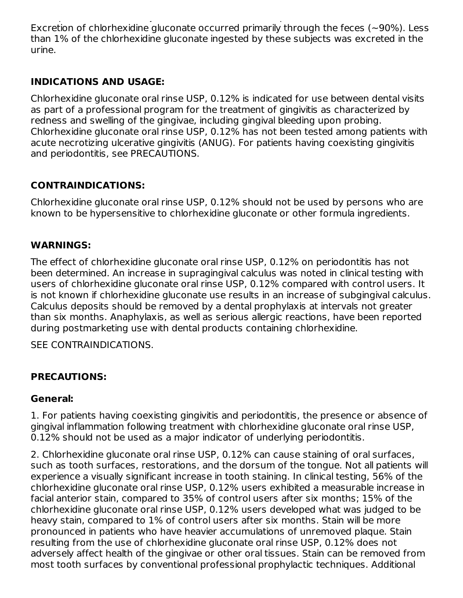in the plasma of these subjects 12 hours after the compound was administered. Excretion of chlorhexidine gluconate occurred primarily through the feces ( $\sim$ 90%). Less than 1% of the chlorhexidine gluconate ingested by these subjects was excreted in the urine.

# **INDICATIONS AND USAGE:**

Chlorhexidine gluconate oral rinse USP, 0.12% is indicated for use between dental visits as part of a professional program for the treatment of gingivitis as characterized by redness and swelling of the gingivae, including gingival bleeding upon probing. Chlorhexidine gluconate oral rinse USP, 0.12% has not been tested among patients with acute necrotizing ulcerative gingivitis (ANUG). For patients having coexisting gingivitis and periodontitis, see PRECAUTIONS.

# **CONTRAINDICATIONS:**

Chlorhexidine gluconate oral rinse USP, 0.12% should not be used by persons who are known to be hypersensitive to chlorhexidine gluconate or other formula ingredients.

# **WARNINGS:**

The effect of chlorhexidine gluconate oral rinse USP, 0.12% on periodontitis has not been determined. An increase in supragingival calculus was noted in clinical testing with users of chlorhexidine gluconate oral rinse USP, 0.12% compared with control users. It is not known if chlorhexidine gluconate use results in an increase of subgingival calculus. Calculus deposits should be removed by a dental prophylaxis at intervals not greater than six months. Anaphylaxis, as well as serious allergic reactions, have been reported during postmarketing use with dental products containing chlorhexidine.

SEE CONTRAINDICATIONS.

# **PRECAUTIONS:**

### **General:**

1. For patients having coexisting gingivitis and periodontitis, the presence or absence of gingival inflammation following treatment with chlorhexidine gluconate oral rinse USP, 0.12% should not be used as a major indicator of underlying periodontitis.

2. Chlorhexidine gluconate oral rinse USP, 0.12% can cause staining of oral surfaces, such as tooth surfaces, restorations, and the dorsum of the tongue. Not all patients will experience a visually significant increase in tooth staining. In clinical testing, 56% of the chlorhexidine gluconate oral rinse USP, 0.12% users exhibited a measurable increase in facial anterior stain, compared to 35% of control users after six months; 15% of the chlorhexidine gluconate oral rinse USP, 0.12% users developed what was judged to be heavy stain, compared to 1% of control users after six months. Stain will be more pronounced in patients who have heavier accumulations of unremoved plaque. Stain resulting from the use of chlorhexidine gluconate oral rinse USP, 0.12% does not adversely affect health of the gingivae or other oral tissues. Stain can be removed from most tooth surfaces by conventional professional prophylactic techniques. Additional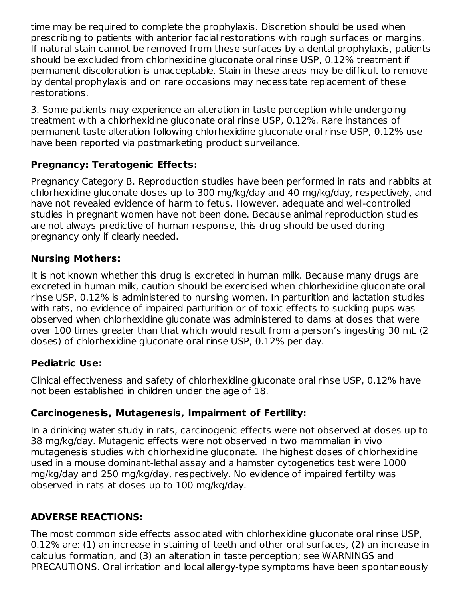time may be required to complete the prophylaxis. Discretion should be used when prescribing to patients with anterior facial restorations with rough surfaces or margins. If natural stain cannot be removed from these surfaces by a dental prophylaxis, patients should be excluded from chlorhexidine gluconate oral rinse USP, 0.12% treatment if permanent discoloration is unacceptable. Stain in these areas may be difficult to remove by dental prophylaxis and on rare occasions may necessitate replacement of these restorations.

3. Some patients may experience an alteration in taste perception while undergoing treatment with a chlorhexidine gluconate oral rinse USP, 0.12%. Rare instances of permanent taste alteration following chlorhexidine gluconate oral rinse USP, 0.12% use have been reported via postmarketing product surveillance.

# **Pregnancy: Teratogenic Effects:**

Pregnancy Category B. Reproduction studies have been performed in rats and rabbits at chlorhexidine gluconate doses up to 300 mg/kg/day and 40 mg/kg/day, respectively, and have not revealed evidence of harm to fetus. However, adequate and well-controlled studies in pregnant women have not been done. Because animal reproduction studies are not always predictive of human response, this drug should be used during pregnancy only if clearly needed.

# **Nursing Mothers:**

It is not known whether this drug is excreted in human milk. Because many drugs are excreted in human milk, caution should be exercised when chlorhexidine gluconate oral rinse USP, 0.12% is administered to nursing women. In parturition and lactation studies with rats, no evidence of impaired parturition or of toxic effects to suckling pups was observed when chlorhexidine gluconate was administered to dams at doses that were over 100 times greater than that which would result from a person's ingesting 30 mL (2 doses) of chlorhexidine gluconate oral rinse USP, 0.12% per day.

# **Pediatric Use:**

Clinical effectiveness and safety of chlorhexidine gluconate oral rinse USP, 0.12% have not been established in children under the age of 18.

# **Carcinogenesis, Mutagenesis, Impairment of Fertility:**

In a drinking water study in rats, carcinogenic effects were not observed at doses up to 38 mg/kg/day. Mutagenic effects were not observed in two mammalian in vivo mutagenesis studies with chlorhexidine gluconate. The highest doses of chlorhexidine used in a mouse dominant-lethal assay and a hamster cytogenetics test were 1000 mg/kg/day and 250 mg/kg/day, respectively. No evidence of impaired fertility was observed in rats at doses up to 100 mg/kg/day.

# **ADVERSE REACTIONS:**

The most common side effects associated with chlorhexidine gluconate oral rinse USP, 0.12% are: (1) an increase in staining of teeth and other oral surfaces, (2) an increase in calculus formation, and (3) an alteration in taste perception; see WARNINGS and PRECAUTIONS. Oral irritation and local allergy-type symptoms have been spontaneously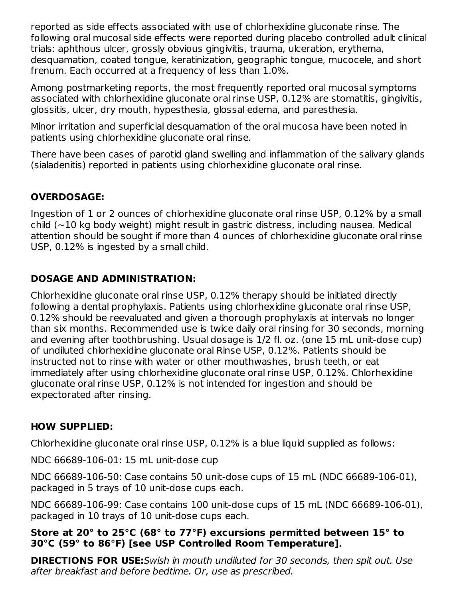reported as side effects associated with use of chlorhexidine gluconate rinse. The following oral mucosal side effects were reported during placebo controlled adult clinical trials: aphthous ulcer, grossly obvious gingivitis, trauma, ulceration, erythema, desquamation, coated tongue, keratinization, geographic tongue, mucocele, and short frenum. Each occurred at a frequency of less than 1.0%.

Among postmarketing reports, the most frequently reported oral mucosal symptoms associated with chlorhexidine gluconate oral rinse USP, 0.12% are stomatitis, gingivitis, glossitis, ulcer, dry mouth, hypesthesia, glossal edema, and paresthesia.

Minor irritation and superficial desquamation of the oral mucosa have been noted in patients using chlorhexidine gluconate oral rinse.

There have been cases of parotid gland swelling and inflammation of the salivary glands (sialadenitis) reported in patients using chlorhexidine gluconate oral rinse.

# **OVERDOSAGE:**

Ingestion of 1 or 2 ounces of chlorhexidine gluconate oral rinse USP, 0.12% by a small child  $(-10 \text{ kg body weight})$  might result in gastric distress, including nausea. Medical attention should be sought if more than 4 ounces of chlorhexidine gluconate oral rinse USP, 0.12% is ingested by a small child.

# **DOSAGE AND ADMINISTRATION:**

Chlorhexidine gluconate oral rinse USP, 0.12% therapy should be initiated directly following a dental prophylaxis. Patients using chlorhexidine gluconate oral rinse USP, 0.12% should be reevaluated and given a thorough prophylaxis at intervals no longer than six months. Recommended use is twice daily oral rinsing for 30 seconds, morning and evening after toothbrushing. Usual dosage is 1/2 fl. oz. (one 15 mL unit-dose cup) of undiluted chlorhexidine gluconate oral Rinse USP, 0.12%. Patients should be instructed not to rinse with water or other mouthwashes, brush teeth, or eat immediately after using chlorhexidine gluconate oral rinse USP, 0.12%. Chlorhexidine gluconate oral rinse USP, 0.12% is not intended for ingestion and should be expectorated after rinsing.

### **HOW SUPPLIED:**

Chlorhexidine gluconate oral rinse USP, 0.12% is a blue liquid supplied as follows:

NDC 66689-106-01: 15 mL unit-dose cup

NDC 66689-106-50: Case contains 50 unit-dose cups of 15 mL (NDC 66689-106-01), packaged in 5 trays of 10 unit-dose cups each.

NDC 66689-106-99: Case contains 100 unit-dose cups of 15 mL (NDC 66689-106-01), packaged in 10 trays of 10 unit-dose cups each.

### **Store at 20° to 25°C (68° to 77°F) excursions permitted between 15° to 30°C (59° to 86°F) [see USP Controlled Room Temperature].**

**DIRECTIONS FOR USE:**Swish in mouth undiluted for 30 seconds, then spit out. Use after breakfast and before bedtime. Or, use as prescribed.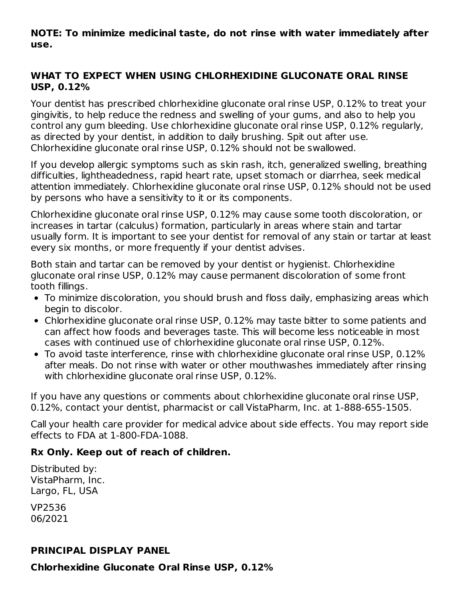### **NOTE: To minimize medicinal taste, do not rinse with water immediately after use.**

### **WHAT TO EXPECT WHEN USING CHLORHEXIDINE GLUCONATE ORAL RINSE USP, 0.12%**

Your dentist has prescribed chlorhexidine gluconate oral rinse USP, 0.12% to treat your gingivitis, to help reduce the redness and swelling of your gums, and also to help you control any gum bleeding. Use chlorhexidine gluconate oral rinse USP, 0.12% regularly, as directed by your dentist, in addition to daily brushing. Spit out after use. Chlorhexidine gluconate oral rinse USP, 0.12% should not be swallowed.

If you develop allergic symptoms such as skin rash, itch, generalized swelling, breathing difficulties, lightheadedness, rapid heart rate, upset stomach or diarrhea, seek medical attention immediately. Chlorhexidine gluconate oral rinse USP, 0.12% should not be used by persons who have a sensitivity to it or its components.

Chlorhexidine gluconate oral rinse USP, 0.12% may cause some tooth discoloration, or increases in tartar (calculus) formation, particularly in areas where stain and tartar usually form. It is important to see your dentist for removal of any stain or tartar at least every six months, or more frequently if your dentist advises.

Both stain and tartar can be removed by your dentist or hygienist. Chlorhexidine gluconate oral rinse USP, 0.12% may cause permanent discoloration of some front tooth fillings.

- To minimize discoloration, you should brush and floss daily, emphasizing areas which begin to discolor.
- Chlorhexidine gluconate oral rinse USP, 0.12% may taste bitter to some patients and can affect how foods and beverages taste. This will become less noticeable in most cases with continued use of chlorhexidine gluconate oral rinse USP, 0.12%.
- To avoid taste interference, rinse with chlorhexidine gluconate oral rinse USP, 0.12% after meals. Do not rinse with water or other mouthwashes immediately after rinsing with chlorhexidine gluconate oral rinse USP, 0.12%.

If you have any questions or comments about chlorhexidine gluconate oral rinse USP, 0.12%, contact your dentist, pharmacist or call VistaPharm, Inc. at 1-888-655-1505.

Call your health care provider for medical advice about side effects. You may report side effects to FDA at 1-800-FDA-1088.

# **Rx Only. Keep out of reach of children.**

Distributed by: VistaPharm, Inc. Largo, FL, USA

VP2536 06/2021

### **PRINCIPAL DISPLAY PANEL**

**Chlorhexidine Gluconate Oral Rinse USP, 0.12%**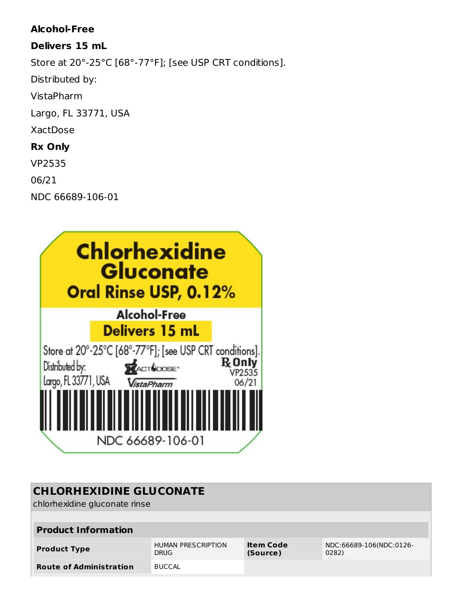### **Alcohol-Free**

### **Delivers 15 mL**

Store at 20°-25°C [68°-77°F]; [see USP CRT conditions].

Distributed by:

VistaPharm

Largo, FL 33771, USA

# XactDose

# **Rx Only**

VP2535

06/21

NDC 66689-106-01



# **CHLORHEXIDINE GLUCONATE**

chlorhexidine gluconate rinse

| <b>Product Information</b>     |                                          |                       |                                  |  |  |  |  |  |
|--------------------------------|------------------------------------------|-----------------------|----------------------------------|--|--|--|--|--|
| <b>Product Type</b>            | <b>HUMAN PRESCRIPTION</b><br><b>DRUG</b> | Item Code<br>(Source) | NDC:66689-106(NDC:0126-<br>0282) |  |  |  |  |  |
| <b>Route of Administration</b> | <b>BUCCAL</b>                            |                       |                                  |  |  |  |  |  |